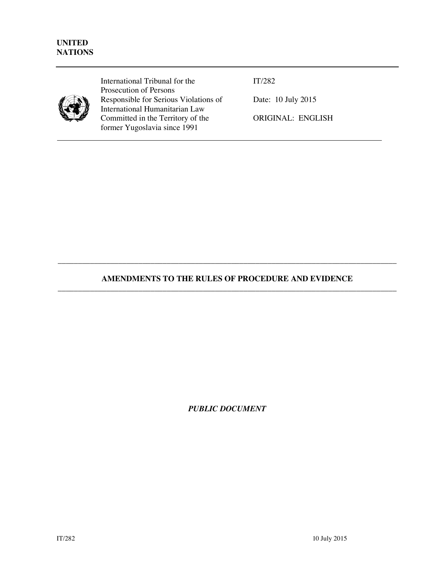

International Tribunal for the Prosecution of Persons Responsible for Serious Violations of International Humanitarian Law Committed in the Territory of the former Yugoslavia since 1991

IT/282

Date: 10 July 2015

ORIGINAL: ENGLISH

## **AMENDMENTS TO THE RULES OF PROCEDURE AND EVIDENCE**  \_\_\_\_\_\_\_\_\_\_\_\_\_\_\_\_\_\_\_\_\_\_\_\_\_\_\_\_\_\_\_\_\_\_\_\_\_\_\_\_\_\_\_\_\_\_\_\_\_\_\_\_\_\_\_\_\_\_\_\_\_\_\_\_\_\_\_\_\_\_\_\_\_\_\_\_\_\_\_\_\_\_\_\_

\_\_\_\_\_\_\_\_\_\_\_\_\_\_\_\_\_\_\_\_\_\_\_\_\_\_\_\_\_\_\_\_\_\_\_\_\_\_\_\_\_\_\_\_\_\_\_\_\_\_\_\_\_\_\_\_\_\_\_\_\_\_\_\_\_\_\_\_\_\_\_\_\_\_\_\_\_\_\_\_\_\_\_\_

*PUBLIC DOCUMENT*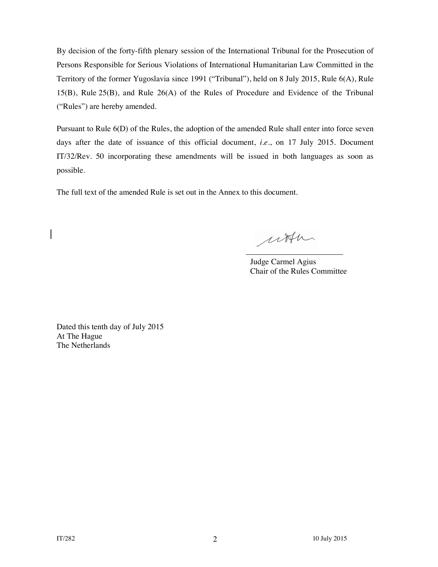By decision of the forty-fifth plenary session of the International Tribunal for the Prosecution of Persons Responsible for Serious Violations of International Humanitarian Law Committed in the Territory of the former Yugoslavia since 1991 ("Tribunal"), held on 8 July 2015, Rule 6(A), Rule 15(B), Rule 25(B), and Rule 26(A) of the Rules of Procedure and Evidence of the Tribunal ("Rules") are hereby amended.

Pursuant to Rule 6(D) of the Rules, the adoption of the amended Rule shall enter into force seven days after the date of issuance of this official document, *i.e.*, on 17 July 2015. Document IT/32/Rev. 50 incorporating these amendments will be issued in both languages as soon as possible.

The full text of the amended Rule is set out in the Annex to this document.

utter

 Judge Carmel Agius Chair of the Rules Committee

Dated this tenth day of July 2015 At The Hague The Netherlands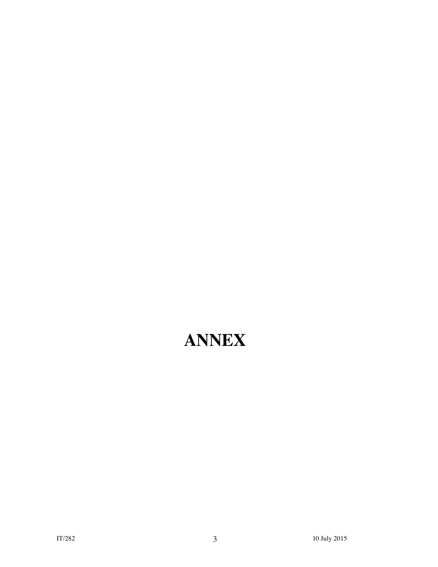# **ANNEX**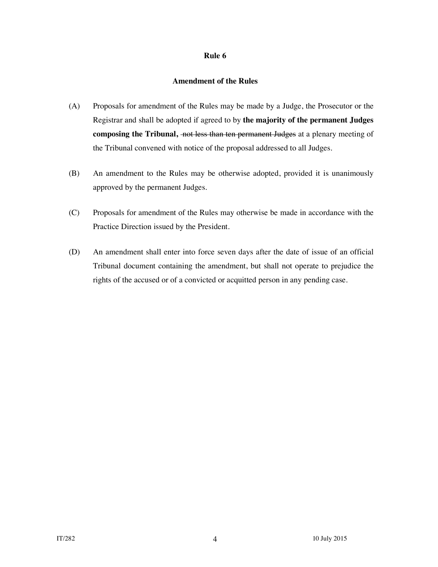## **Amendment of the Rules**

- (A) Proposals for amendment of the Rules may be made by a Judge, the Prosecutor or the Registrar and shall be adopted if agreed to by **the majority of the permanent Judges**  composing the Tribunal, not less than ten permanent Judges at a plenary meeting of the Tribunal convened with notice of the proposal addressed to all Judges.
- (B) An amendment to the Rules may be otherwise adopted, provided it is unanimously approved by the permanent Judges.
- (C) Proposals for amendment of the Rules may otherwise be made in accordance with the Practice Direction issued by the President.
- (D) An amendment shall enter into force seven days after the date of issue of an official Tribunal document containing the amendment, but shall not operate to prejudice the rights of the accused or of a convicted or acquitted person in any pending case.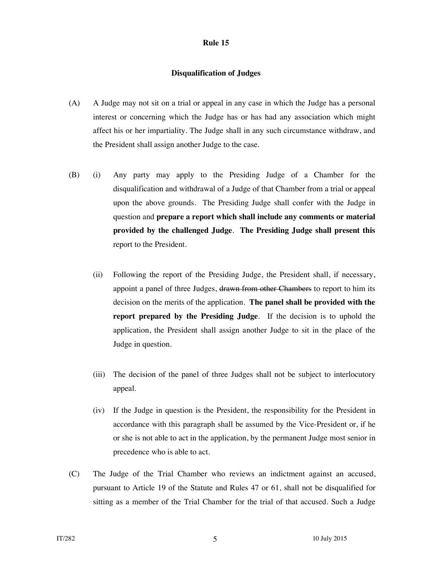#### **Disqualification of Judges**

- (A) A Judge may not sit on a trial or appeal in any case in which the Judge has a personal interest or concerning which the Judge has or has had any association which might affect his or her impartiality. The Judge shall in any such circumstance withdraw, and the President shall assign another Judge to the case.
- (B) (i) Any party may apply to the Presiding Judge of a Chamber for the disqualification and withdrawal of a Judge of that Chamber from a trial or appeal upon the above grounds. The Presiding Judge shall confer with the Judge in question and **prepare a report which shall include any comments or material provided by the challenged Judge**. **The Presiding Judge shall present this**  report to the President.
	- (ii) Following the report of the Presiding Judge, the President shall, if necessary, appoint a panel of three Judges, drawn from other Chambers to report to him its decision on the merits of the application. **The panel shall be provided with the report prepared by the Presiding Judge**. If the decision is to uphold the application, the President shall assign another Judge to sit in the place of the Judge in question.
	- (iii) The decision of the panel of three Judges shall not be subject to interlocutory appeal.
	- (iv) If the Judge in question is the President, the responsibility for the President in accordance with this paragraph shall be assumed by the Vice-President or, if he or she is not able to act in the application, by the permanent Judge most senior in precedence who is able to act.
- (C) The Judge of the Trial Chamber who reviews an indictment against an accused, pursuant to Article 19 of the Statute and Rules 47 or 61, shall not be disqualified for sitting as a member of the Trial Chamber for the trial of that accused. Such a Judge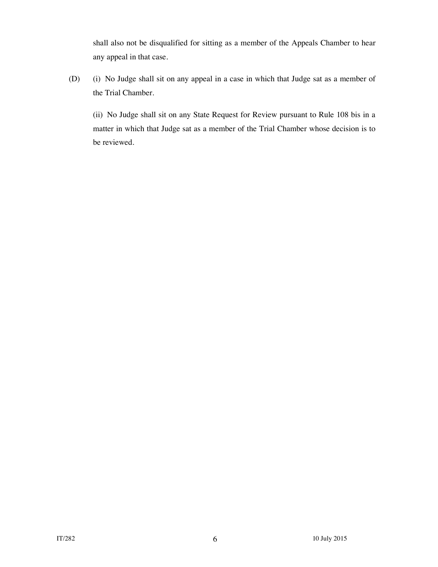shall also not be disqualified for sitting as a member of the Appeals Chamber to hear any appeal in that case.

(D) (i) No Judge shall sit on any appeal in a case in which that Judge sat as a member of the Trial Chamber.

 (ii) No Judge shall sit on any State Request for Review pursuant to Rule 108 bis in a matter in which that Judge sat as a member of the Trial Chamber whose decision is to be reviewed.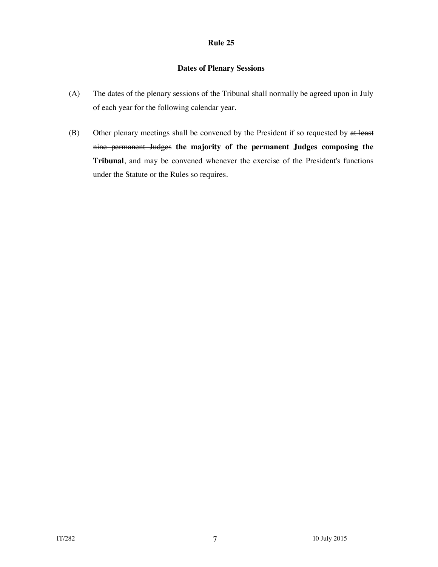## **Dates of Plenary Sessions**

- (A) The dates of the plenary sessions of the Tribunal shall normally be agreed upon in July of each year for the following calendar year.
- (B) Other plenary meetings shall be convened by the President if so requested by at least nine permanent Judges **the majority of the permanent Judges composing the Tribunal**, and may be convened whenever the exercise of the President's functions under the Statute or the Rules so requires.